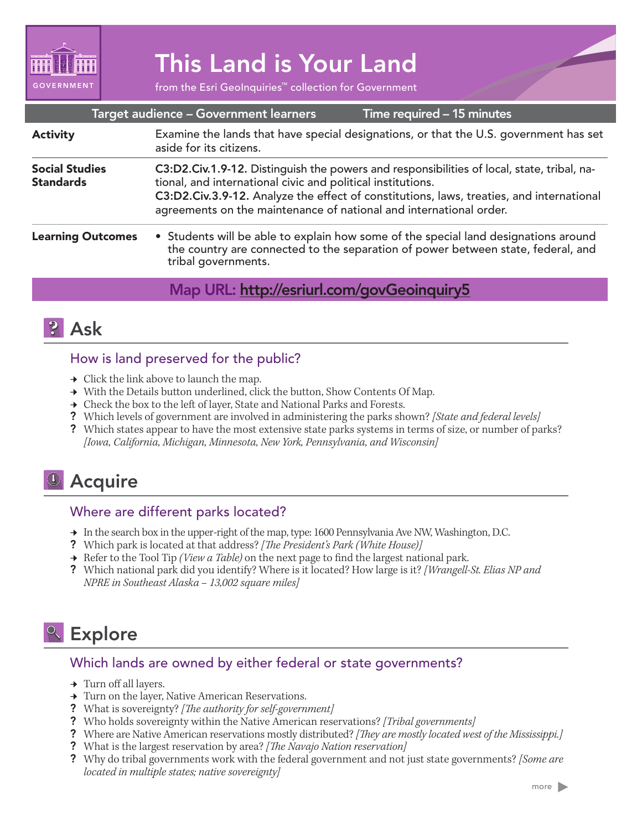

# This Land is Your Land

from the Esri GeoInquiries™ collection for Government

|                                           | Target audience - Government learners                                                                                                                                                                                                                                                                                       | Time required - 15 minutes                                                                                                                                              |
|-------------------------------------------|-----------------------------------------------------------------------------------------------------------------------------------------------------------------------------------------------------------------------------------------------------------------------------------------------------------------------------|-------------------------------------------------------------------------------------------------------------------------------------------------------------------------|
| <b>Activity</b>                           | Examine the lands that have special designations, or that the U.S. government has set<br>aside for its citizens.                                                                                                                                                                                                            |                                                                                                                                                                         |
| <b>Social Studies</b><br><b>Standards</b> | C3:D2.Civ.1.9-12. Distinguish the powers and responsibilities of local, state, tribal, na-<br>tional, and international civic and political institutions.<br>C3:D2.Civ.3.9-12. Analyze the effect of constitutions, laws, treaties, and international<br>agreements on the maintenance of national and international order. |                                                                                                                                                                         |
| <b>Learning Outcomes</b>                  | tribal governments.                                                                                                                                                                                                                                                                                                         | • Students will be able to explain how some of the special land designations around<br>the country are connected to the separation of power between state, federal, and |
|                                           | Map URL: http://esriurl.com/govGeoinquiry5                                                                                                                                                                                                                                                                                  |                                                                                                                                                                         |



## How is land preserved for the public?

- $\rightarrow$  Click the link above to launch the map.
- ʅ With the Details button underlined, click the button, Show Contents Of Map.
- → Check the box to the left of layer, State and National Parks and Forests.
- ? Which levels of government are involved in administering the parks shown? *[State and federal levels]*
- ? Which states appear to have the most extensive state parks systems in terms of size, or number of parks? *[Iowa, California, Michigan, Minnesota, New York, Pennsylvania, and Wisconsin]*

## **4** Acquire

## Where are different parks located?

- → In the search box in the upper-right of the map, type: 1600 Pennsylvania Ave NW, Washington, D.C.
- ? Which park is located at that address? *[The President's Park (White House)]*
- **→** Refer to the Tool Tip *(View a Table)* on the next page to find the largest national park.
- ? Which national park did you identify? Where is it located? How large is it? *[Wrangell-St. Elias NP and NPRE in Southeast Alaska – 13,002 square miles]*

## <sup>o</sup> Explore

## Which lands are owned by either federal or state governments?

- $\rightarrow$  Turn off all layers.
- ʅ Turn on the layer, Native American Reservations.
- ? What is sovereignty? *[The authority for self-government]*
- ? Who holds sovereignty within the Native American reservations? *[Tribal governments]*
- ? Where are Native American reservations mostly distributed? *[They are mostly located west of the Mississippi.]*
- ? What is the largest reservation by area? *[The Navajo Nation reservation]*
- ? Why do tribal governments work with the federal government and not just state governments? *[Some are located in multiple states; native sovereignty]*